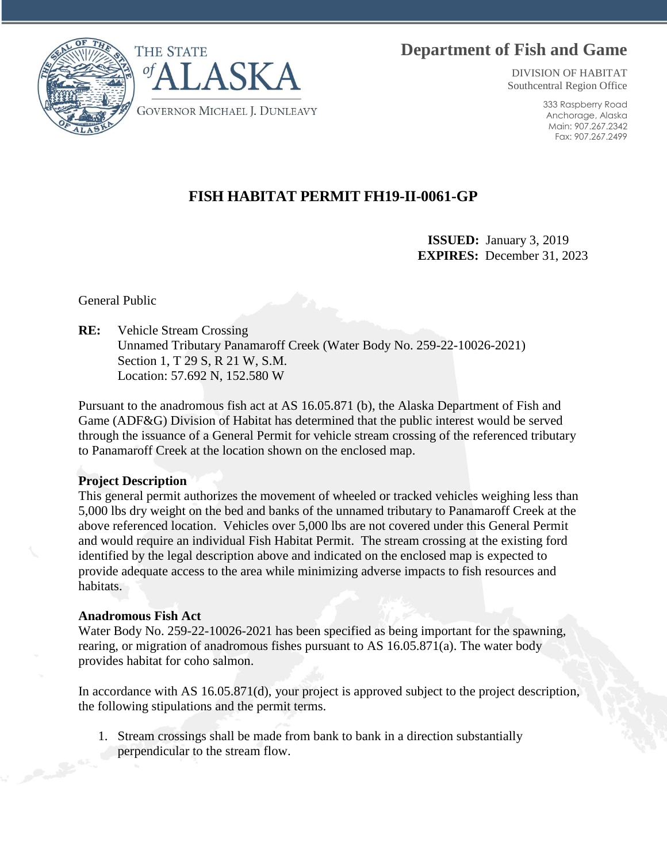# **Department of Fish and Game**



DIVISION OF HABITAT Southcentral Region Office

> 333 Raspberry Road Anchorage, Alaska Main: 907.267.2342 Fax: 907.267.2499

## **FISH HABITAT PERMIT FH19-II-0061-GP**

 **ISSUED:** January 3, 2019 **EXPIRES:** December 31, 2023

General Public

**RE:** Vehicle Stream Crossing Unnamed Tributary Panamaroff Creek (Water Body No. 259-22-10026-2021) Section 1, T 29 S, R 21 W, S.M. Location: 57.692 N, 152.580 W

Pursuant to the anadromous fish act at AS 16.05.871 (b), the Alaska Department of Fish and Game (ADF&G) Division of Habitat has determined that the public interest would be served through the issuance of a General Permit for vehicle stream crossing of the referenced tributary to Panamaroff Creek at the location shown on the enclosed map.

#### **Project Description**

This general permit authorizes the movement of wheeled or tracked vehicles weighing less than 5,000 lbs dry weight on the bed and banks of the unnamed tributary to Panamaroff Creek at the above referenced location. Vehicles over 5,000 lbs are not covered under this General Permit and would require an individual Fish Habitat Permit. The stream crossing at the existing ford identified by the legal description above and indicated on the enclosed map is expected to provide adequate access to the area while minimizing adverse impacts to fish resources and habitats.

#### **Anadromous Fish Act**

Water Body No. 259-22-10026-2021 has been specified as being important for the spawning, rearing, or migration of anadromous fishes pursuant to AS 16.05.871(a). The water body provides habitat for coho salmon.

In accordance with AS 16.05.871(d), your project is approved subject to the project description, the following stipulations and the permit terms.

1. Stream crossings shall be made from bank to bank in a direction substantially perpendicular to the stream flow.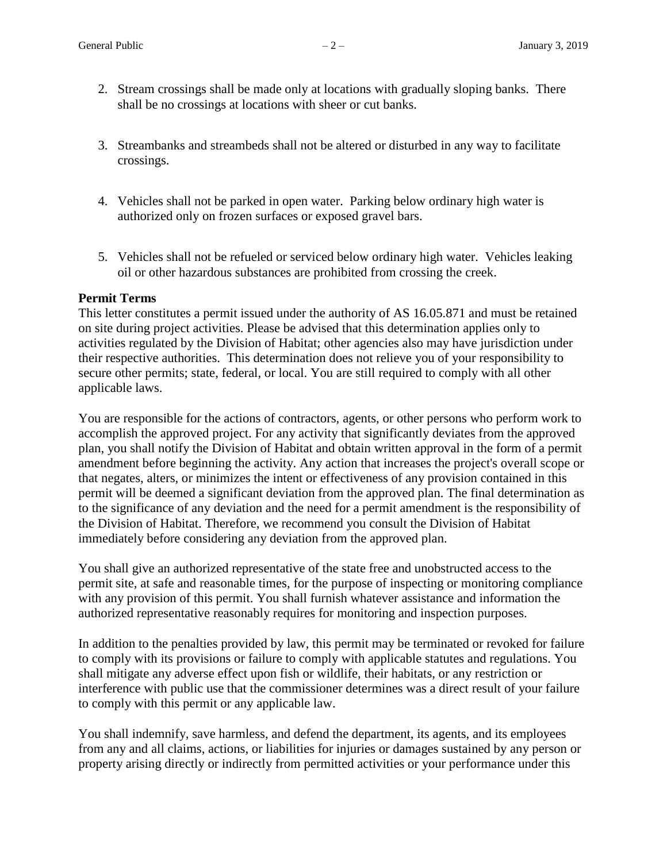- 2. Stream crossings shall be made only at locations with gradually sloping banks. There shall be no crossings at locations with sheer or cut banks.
- 3. Streambanks and streambeds shall not be altered or disturbed in any way to facilitate crossings.
- 4. Vehicles shall not be parked in open water. Parking below ordinary high water is authorized only on frozen surfaces or exposed gravel bars.
- 5. Vehicles shall not be refueled or serviced below ordinary high water. Vehicles leaking oil or other hazardous substances are prohibited from crossing the creek.

#### **Permit Terms**

This letter constitutes a permit issued under the authority of AS 16.05.871 and must be retained on site during project activities. Please be advised that this determination applies only to activities regulated by the Division of Habitat; other agencies also may have jurisdiction under their respective authorities. This determination does not relieve you of your responsibility to secure other permits; state, federal, or local. You are still required to comply with all other applicable laws.

You are responsible for the actions of contractors, agents, or other persons who perform work to accomplish the approved project. For any activity that significantly deviates from the approved plan, you shall notify the Division of Habitat and obtain written approval in the form of a permit amendment before beginning the activity. Any action that increases the project's overall scope or that negates, alters, or minimizes the intent or effectiveness of any provision contained in this permit will be deemed a significant deviation from the approved plan. The final determination as to the significance of any deviation and the need for a permit amendment is the responsibility of the Division of Habitat. Therefore, we recommend you consult the Division of Habitat immediately before considering any deviation from the approved plan.

You shall give an authorized representative of the state free and unobstructed access to the permit site, at safe and reasonable times, for the purpose of inspecting or monitoring compliance with any provision of this permit. You shall furnish whatever assistance and information the authorized representative reasonably requires for monitoring and inspection purposes.

In addition to the penalties provided by law, this permit may be terminated or revoked for failure to comply with its provisions or failure to comply with applicable statutes and regulations. You shall mitigate any adverse effect upon fish or wildlife, their habitats, or any restriction or interference with public use that the commissioner determines was a direct result of your failure to comply with this permit or any applicable law.

You shall indemnify, save harmless, and defend the department, its agents, and its employees from any and all claims, actions, or liabilities for injuries or damages sustained by any person or property arising directly or indirectly from permitted activities or your performance under this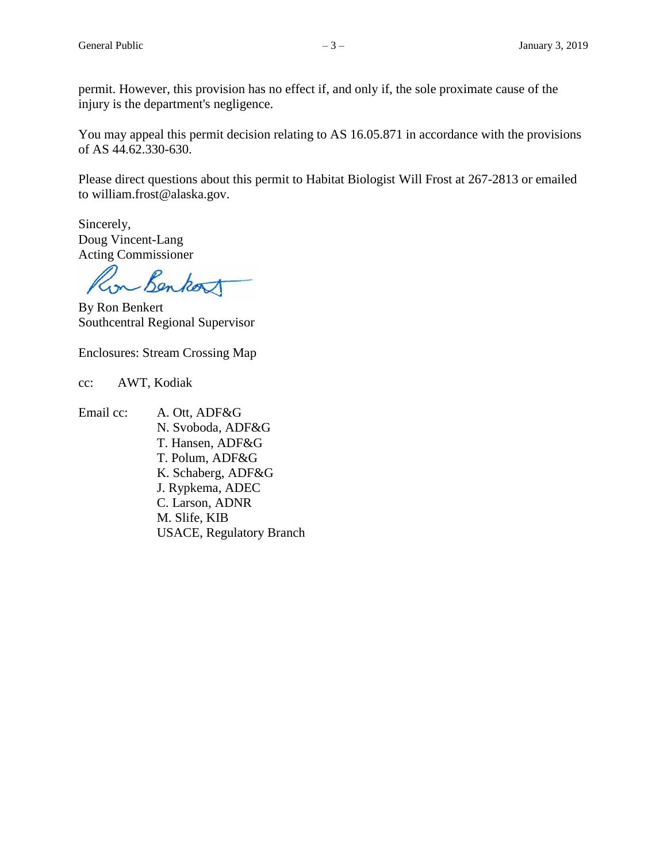permit. However, this provision has no effect if, and only if, the sole proximate cause of the injury is the department's negligence.

You may appeal this permit decision relating to AS 16.05.871 in accordance with the provisions of AS 44.62.330-630.

Please direct questions about this permit to Habitat Biologist Will Frost at 267-2813 or emailed to william.frost@alaska.gov.

Sincerely, Doug Vincent-Lang Acting Commissioner

Benkort  $12<sup>m</sup>$ 

By Ron Benkert Southcentral Regional Supervisor

Enclosures: Stream Crossing Map

cc: AWT, Kodiak

Email cc: A. Ott, ADF&G

N. Svoboda, ADF&G T. Hansen, ADF&G T. Polum, ADF&G K. Schaberg, ADF&G J. Rypkema, ADEC C. Larson, ADNR M. Slife, KIB USACE, Regulatory Branch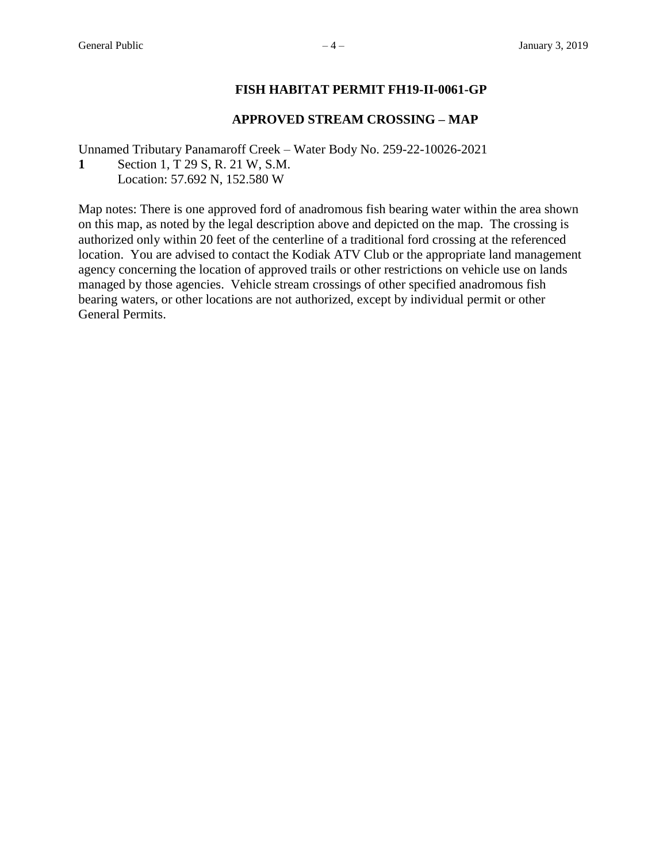#### **FISH HABITAT PERMIT FH19-II-0061-GP**

#### **APPROVED STREAM CROSSING – MAP**

Unnamed Tributary Panamaroff Creek – Water Body No. 259-22-10026-2021 **1** Section 1, T 29 S, R. 21 W, S.M.

Location: 57.692 N, 152.580 W

Map notes: There is one approved ford of anadromous fish bearing water within the area shown on this map, as noted by the legal description above and depicted on the map. The crossing is authorized only within 20 feet of the centerline of a traditional ford crossing at the referenced location. You are advised to contact the Kodiak ATV Club or the appropriate land management agency concerning the location of approved trails or other restrictions on vehicle use on lands managed by those agencies. Vehicle stream crossings of other specified anadromous fish bearing waters, or other locations are not authorized, except by individual permit or other General Permits.